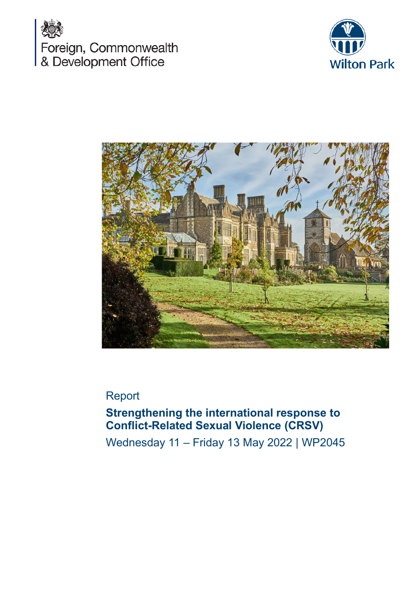





# Report

# **Strengthening the international response to Conflict-Related Sexual Violence (CRSV)**

Wednesday 11 – Friday 13 May 2022 | WP2045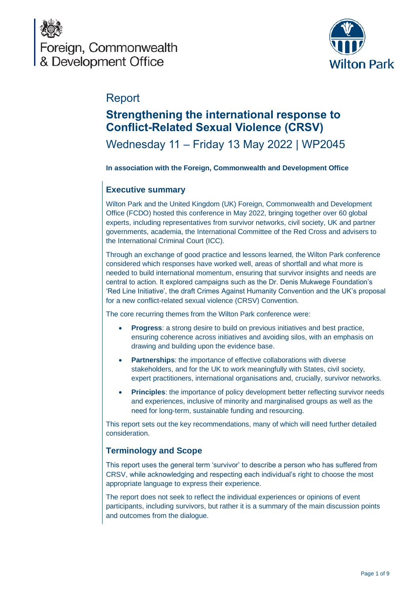



# Report

# **Strengthening the international response to Conflict-Related Sexual Violence (CRSV)**

# Wednesday 11 – Friday 13 May 2022 | WP2045

#### **In association with the Foreign, Commonwealth and Development Office**

## **Executive summary**

Wilton Park and the United Kingdom (UK) Foreign, Commonwealth and Development Office (FCDO) hosted this conference in May 2022, bringing together over 60 global experts, including representatives from survivor networks, civil society, UK and partner governments, academia, the International Committee of the Red Cross and advisers to the International Criminal Court (ICC).

Through an exchange of good practice and lessons learned, the Wilton Park conference considered which responses have worked well, areas of shortfall and what more is needed to build international momentum, ensuring that survivor insights and needs are central to action. It explored campaigns such as the Dr. Denis Mukwege Foundation's 'Red Line Initiative', the draft Crimes Against Humanity Convention and the UK's proposal for a new conflict-related sexual violence (CRSV) Convention.

The core recurring themes from the Wilton Park conference were:

- **Progress**: a strong desire to build on previous initiatives and best practice, ensuring coherence across initiatives and avoiding silos, with an emphasis on drawing and building upon the evidence base.
- **Partnerships**: the importance of effective collaborations with diverse stakeholders, and for the UK to work meaningfully with States, civil society, expert practitioners, international organisations and, crucially, survivor networks.
- **Principles**: the importance of policy development better reflecting survivor needs and experiences, inclusive of minority and marginalised groups as well as the need for long-term, sustainable funding and resourcing.

This report sets out the key recommendations, many of which will need further detailed consideration.

### **Terminology and Scope**

This report uses the general term 'survivor' to describe a person who has suffered from CRSV, while acknowledging and respecting each individual's right to choose the most appropriate language to express their experience.

The report does not seek to reflect the individual experiences or opinions of event participants, including survivors, but rather it is a summary of the main discussion points and outcomes from the dialogue.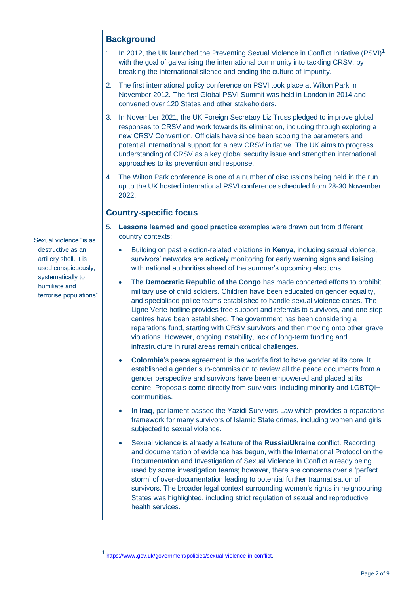## **Background**

- 1. In 2012, the UK launched the Preventing Sexual Violence in Conflict Initiative (PSVI)<sup>1</sup> with the goal of galvanising the international community into tackling CRSV, by breaking the international silence and ending the culture of impunity.
- 2. The first international policy conference on PSVI took place at Wilton Park in November 2012. The first Global PSVI Summit was held in London in 2014 and convened over 120 States and other stakeholders.
- 3. In November 2021, the UK Foreign Secretary Liz Truss pledged to improve global responses to CRSV and work towards its elimination, including through exploring a new CRSV Convention. Officials have since been scoping the parameters and potential international support for a new CRSV initiative. The UK aims to progress understanding of CRSV as a key global security issue and strengthen international approaches to its prevention and response.
- 4. The Wilton Park conference is one of a number of discussions being held in the run up to the UK hosted international PSVI conference scheduled from 28-30 November 2022.

## **Country-specific focus**

- 5. **Lessons learned and good practice** examples were drawn out from different country contexts:
	- Building on past election-related violations in **Kenya**, including sexual violence, survivors' networks are actively monitoring for early warning signs and liaising with national authorities ahead of the summer's upcoming elections.
	- The **Democratic Republic of the Congo** has made concerted efforts to prohibit military use of child soldiers. Children have been educated on gender equality, and specialised police teams established to handle sexual violence cases. The Ligne Verte hotline provides free support and referrals to survivors, and one stop centres have been established. The government has been considering a reparations fund, starting with CRSV survivors and then moving onto other grave violations. However, ongoing instability, lack of long-term funding and infrastructure in rural areas remain critical challenges.
	- **Colombia**'s peace agreement is the world's first to have gender at its core. It established a gender sub-commission to review all the peace documents from a gender perspective and survivors have been empowered and placed at its centre. Proposals come directly from survivors, including minority and LGBTQI+ communities.
	- In **Iraq**, parliament passed the Yazidi Survivors Law which provides a reparations framework for many survivors of Islamic State crimes, including women and girls subjected to sexual violence.
	- Sexual violence is already a feature of the **Russia/Ukraine** conflict. Recording and documentation of evidence has begun, with the International Protocol on the Documentation and Investigation of Sexual Violence in Conflict already being used by some investigation teams; however, there are concerns over a 'perfect storm' of over-documentation leading to potential further traumatisation of survivors. The broader legal context surrounding women's rights in neighbouring States was highlighted, including strict regulation of sexual and reproductive health services.

Sexual violence "is as destructive as an artillery shell. It is used conspicuously, systematically to humiliate and terrorise populations"

<sup>1</sup> [https://www.gov.uk/government/policies/sexual-violence-in-conflict.](https://www.gov.uk/government/policies/sexual-violence-in-conflict)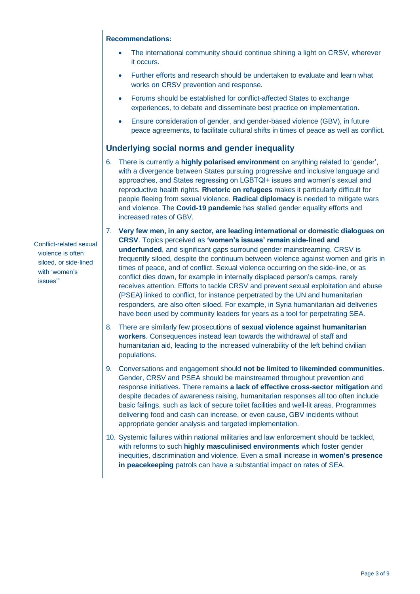- The international community should continue shining a light on CRSV, wherever it occurs.
- Further efforts and research should be undertaken to evaluate and learn what works on CRSV prevention and response.
- Forums should be established for conflict-affected States to exchange experiences, to debate and disseminate best practice on implementation.
- Ensure consideration of gender, and gender-based violence (GBV), in future peace agreements, to facilitate cultural shifts in times of peace as well as conflict.

### **Underlying social norms and gender inequality**

- 6. There is currently a **highly polarised environment** on anything related to 'gender', with a divergence between States pursuing progressive and inclusive language and approaches, and States regressing on LGBTQI+ issues and women's sexual and reproductive health rights. **Rhetoric on refugees** makes it particularly difficult for people fleeing from sexual violence. **Radical diplomacy** is needed to mitigate wars and violence. The **Covid-19 pandemic** has stalled gender equality efforts and increased rates of GBV.
- 7. **Very few men, in any sector, are leading international or domestic dialogues on CRSV**. Topics perceived as **'women's issues' remain side-lined and underfunded**, and significant gaps surround gender mainstreaming. CRSV is frequently siloed, despite the continuum between violence against women and girls in times of peace, and of conflict. Sexual violence occurring on the side-line, or as conflict dies down, for example in internally displaced person's camps, rarely receives attention. Efforts to tackle CRSV and prevent sexual exploitation and abuse (PSEA) linked to conflict, for instance perpetrated by the UN and humanitarian responders, are also often siloed. For example, in Syria humanitarian aid deliveries have been used by community leaders for years as a tool for perpetrating SEA.
- 8. There are similarly few prosecutions of **sexual violence against humanitarian workers**. Consequences instead lean towards the withdrawal of staff and humanitarian aid, leading to the increased vulnerability of the left behind civilian populations.
- 9. Conversations and engagement should **not be limited to likeminded communities**. Gender, CRSV and PSEA should be mainstreamed throughout prevention and response initiatives. There remains **a lack of effective cross-sector mitigation** and despite decades of awareness raising, humanitarian responses all too often include basic failings, such as lack of secure toilet facilities and well-lit areas. Programmes delivering food and cash can increase, or even cause, GBV incidents without appropriate gender analysis and targeted implementation.
- 10. Systemic failures within national militaries and law enforcement should be tackled, with reforms to such **highly masculinised environments** which foster gender inequities, discrimination and violence. Even a small increase in **women's presence in peacekeeping** patrols can have a substantial impact on rates of SEA.

Conflict-related sexual violence is often siloed, or side-lined with 'women's issues'"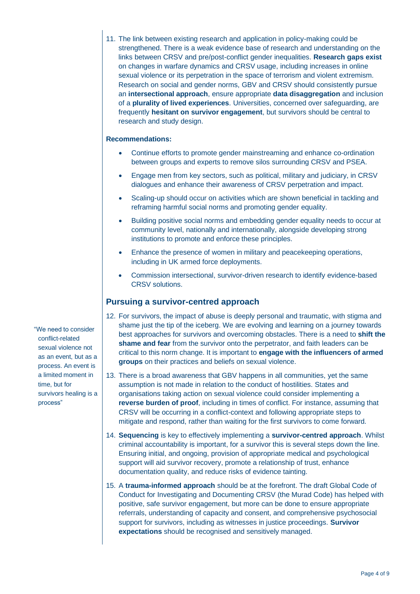11. The link between existing research and application in policy-making could be strengthened. There is a weak evidence base of research and understanding on the links between CRSV and pre/post-conflict gender inequalities. **Research gaps exist** on changes in warfare dynamics and CRSV usage, including increases in online sexual violence or its perpetration in the space of terrorism and violent extremism. Research on social and gender norms, GBV and CRSV should consistently pursue an **intersectional approach**, ensure appropriate **data disaggregation** and inclusion of a **plurality of lived experiences**. Universities, concerned over safeguarding, are frequently **hesitant on survivor engagement**, but survivors should be central to research and study design.

#### **Recommendations:**

- Continue efforts to promote gender mainstreaming and enhance co-ordination between groups and experts to remove silos surrounding CRSV and PSEA.
- Engage men from key sectors, such as political, military and judiciary, in CRSV dialogues and enhance their awareness of CRSV perpetration and impact.
- Scaling-up should occur on activities which are shown beneficial in tackling and reframing harmful social norms and promoting gender equality.
- Building positive social norms and embedding gender equality needs to occur at community level, nationally and internationally, alongside developing strong institutions to promote and enforce these principles.
- Enhance the presence of women in military and peacekeeping operations, including in UK armed force deployments.
- Commission intersectional, survivor-driven research to identify evidence-based CRSV solutions.

### **Pursuing a survivor-centred approach**

- 12. For survivors, the impact of abuse is deeply personal and traumatic, with stigma and shame just the tip of the iceberg. We are evolving and learning on a journey towards best approaches for survivors and overcoming obstacles. There is a need to **shift the shame and fear** from the survivor onto the perpetrator, and faith leaders can be critical to this norm change. It is important to **engage with the influencers of armed groups** on their practices and beliefs on sexual violence.
- 13. There is a broad awareness that GBV happens in all communities, yet the same assumption is not made in relation to the conduct of hostilities. States and organisations taking action on sexual violence could consider implementing a **reverse burden of proof**, including in times of conflict. For instance, assuming that CRSV will be occurring in a conflict-context and following appropriate steps to mitigate and respond, rather than waiting for the first survivors to come forward.
- 14. **Sequencing** is key to effectively implementing a **survivor-centred approach**. Whilst criminal accountability is important, for a survivor this is several steps down the line. Ensuring initial, and ongoing, provision of appropriate medical and psychological support will aid survivor recovery, promote a relationship of trust, enhance documentation quality, and reduce risks of evidence tainting.
- 15. A **trauma-informed approach** should be at the forefront. The draft Global Code of Conduct for Investigating and Documenting CRSV (the Murad Code) has helped with positive, safe survivor engagement, but more can be done to ensure appropriate referrals, understanding of capacity and consent, and comprehensive psychosocial support for survivors, including as witnesses in justice proceedings. **Survivor expectations** should be recognised and sensitively managed.

"We need to consider conflict-related sexual violence not as an event, but as a process. An event is a limited moment in time, but for survivors healing is a process"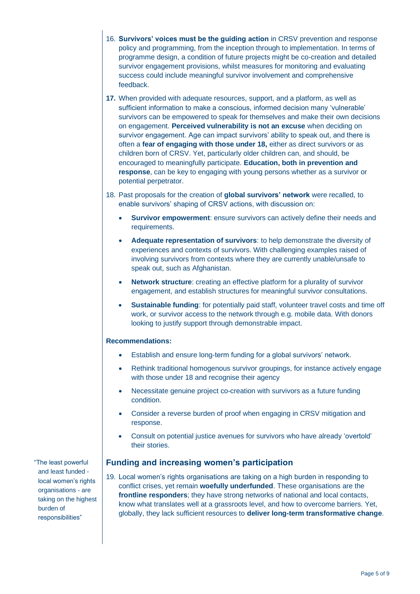- 16. **Survivors' voices must be the guiding action** in CRSV prevention and response policy and programming, from the inception through to implementation. In terms of programme design, a condition of future projects might be co-creation and detailed survivor engagement provisions, whilst measures for monitoring and evaluating success could include meaningful survivor involvement and comprehensive feedback.
- **17.** When provided with adequate resources, support, and a platform, as well as sufficient information to make a conscious, informed decision many 'vulnerable' survivors can be empowered to speak for themselves and make their own decisions on engagement. **Perceived vulnerability is not an excuse** when deciding on survivor engagement. Age can impact survivors' ability to speak out, and there is often a **fear of engaging with those under 18,** either as direct survivors or as children born of CRSV. Yet, particularly older children can, and should, be encouraged to meaningfully participate. **Education, both in prevention and response**, can be key to engaging with young persons whether as a survivor or potential perpetrator.
- 18. Past proposals for the creation of **global survivors' network** were recalled, to enable survivors' shaping of CRSV actions, with discussion on:
	- **Survivor empowerment**: ensure survivors can actively define their needs and requirements.
	- **Adequate representation of survivors**: to help demonstrate the diversity of experiences and contexts of survivors. With challenging examples raised of involving survivors from contexts where they are currently unable/unsafe to speak out, such as Afghanistan.
	- **Network structure**: creating an effective platform for a plurality of survivor engagement, and establish structures for meaningful survivor consultations.
	- **Sustainable funding**: for potentially paid staff, volunteer travel costs and time off work, or survivor access to the network through e.g. mobile data. With donors looking to justify support through demonstrable impact.

- Establish and ensure long-term funding for a global survivors' network.
- Rethink traditional homogenous survivor groupings, for instance actively engage with those under 18 and recognise their agency
- Necessitate genuine project co-creation with survivors as a future funding condition.
- Consider a reverse burden of proof when engaging in CRSV mitigation and response.
- Consult on potential justice avenues for survivors who have already 'overtold' their stories.

#### **Funding and increasing women's participation**

19. Local women's rights organisations are taking on a high burden in responding to conflict crises, yet remain **woefully underfunded**. These organisations are the **frontline responders**; they have strong networks of national and local contacts, know what translates well at a grassroots level, and how to overcome barriers. Yet, globally, they lack sufficient resources to **deliver long-term transformative change**.

"The least powerful and least funded local women's rights organisations - are taking on the highest burden of responsibilities"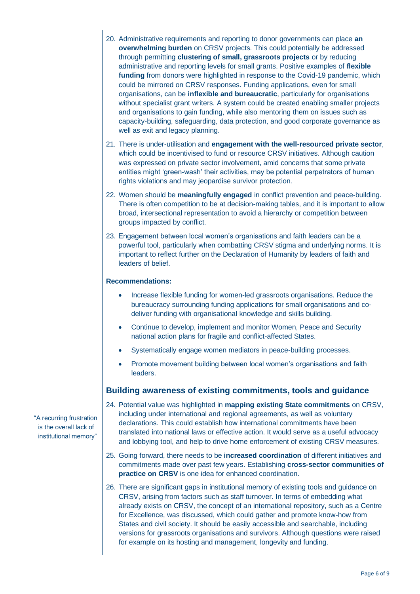- 20. Administrative requirements and reporting to donor governments can place **an overwhelming burden** on CRSV projects. This could potentially be addressed through permitting **clustering of small, grassroots projects** or by reducing administrative and reporting levels for small grants. Positive examples of **flexible funding** from donors were highlighted in response to the Covid-19 pandemic, which could be mirrored on CRSV responses. Funding applications, even for small organisations, can be **inflexible and bureaucratic**, particularly for organisations without specialist grant writers. A system could be created enabling smaller projects and organisations to gain funding, while also mentoring them on issues such as capacity-building, safeguarding, data protection, and good corporate governance as well as exit and legacy planning.
- 21. There is under-utilisation and **engagement with the well-resourced private sector**, which could be incentivised to fund or resource CRSV initiatives. Although caution was expressed on private sector involvement, amid concerns that some private entities might 'green-wash' their activities, may be potential perpetrators of human rights violations and may jeopardise survivor protection.
- 22. Women should be **meaningfully engaged** in conflict prevention and peace-building. There is often competition to be at decision-making tables, and it is important to allow broad, intersectional representation to avoid a hierarchy or competition between groups impacted by conflict.
- 23. Engagement between local women's organisations and faith leaders can be a powerful tool, particularly when combatting CRSV stigma and underlying norms. It is important to reflect further on the Declaration of Humanity by leaders of faith and leaders of belief.

- Increase flexible funding for women-led grassroots organisations. Reduce the bureaucracy surrounding funding applications for small organisations and codeliver funding with organisational knowledge and skills building.
- Continue to develop, implement and monitor Women, Peace and Security national action plans for fragile and conflict-affected States.
- Systematically engage women mediators in peace-building processes.
- Promote movement building between local women's organisations and faith leaders.

### **Building awareness of existing commitments, tools and guidance**

- 24. Potential value was highlighted in **mapping existing State commitments** on CRSV, including under international and regional agreements, as well as voluntary declarations. This could establish how international commitments have been translated into national laws or effective action. It would serve as a useful advocacy and lobbying tool, and help to drive home enforcement of existing CRSV measures.
- 25. Going forward, there needs to be **increased coordination** of different initiatives and commitments made over past few years. Establishing **cross-sector communities of practice on CRSV** is one idea for enhanced coordination.
- 26. There are significant gaps in institutional memory of existing tools and guidance on CRSV, arising from factors such as staff turnover. In terms of embedding what already exists on CRSV, the concept of an international repository, such as a Centre for Excellence, was discussed, which could gather and promote know-how from States and civil society. It should be easily accessible and searchable, including versions for grassroots organisations and survivors. Although questions were raised for example on its hosting and management, longevity and funding.

"A recurring frustration is the overall lack of institutional memory"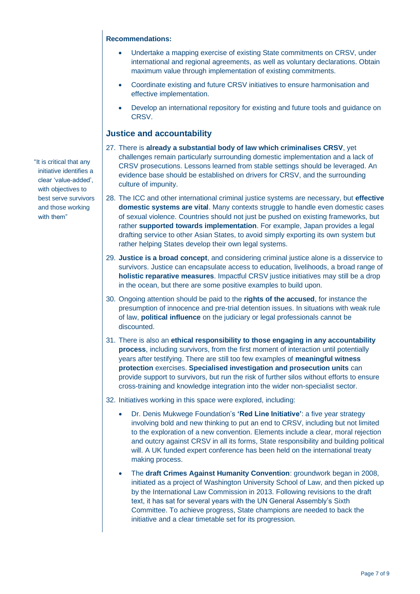- Undertake a mapping exercise of existing State commitments on CRSV, under international and regional agreements, as well as voluntary declarations. Obtain maximum value through implementation of existing commitments.
- Coordinate existing and future CRSV initiatives to ensure harmonisation and effective implementation.
- Develop an international repository for existing and future tools and guidance on CRSV.

### **Justice and accountability**

- 27. There is **already a substantial body of law which criminalises CRSV**, yet challenges remain particularly surrounding domestic implementation and a lack of CRSV prosecutions. Lessons learned from stable settings should be leveraged. An evidence base should be established on drivers for CRSV, and the surrounding culture of impunity.
- 28. The ICC and other international criminal justice systems are necessary, but **effective domestic systems are vital**. Many contexts struggle to handle even domestic cases of sexual violence. Countries should not just be pushed on existing frameworks, but rather **supported towards implementation**. For example, Japan provides a legal drafting service to other Asian States, to avoid simply exporting its own system but rather helping States develop their own legal systems.
- 29. **Justice is a broad concept**, and considering criminal justice alone is a disservice to survivors. Justice can encapsulate access to education, livelihoods, a broad range of **holistic reparative measures**. Impactful CRSV justice initiatives may still be a drop in the ocean, but there are some positive examples to build upon.
- 30. Ongoing attention should be paid to the **rights of the accused**, for instance the presumption of innocence and pre-trial detention issues. In situations with weak rule of law, **political influence** on the judiciary or legal professionals cannot be discounted.
- 31. There is also an **ethical responsibility to those engaging in any accountability process**, including survivors, from the first moment of interaction until potentially years after testifying. There are still too few examples of **meaningful witness protection** exercises. **Specialised investigation and prosecution units** can provide support to survivors, but run the risk of further silos without efforts to ensure cross-training and knowledge integration into the wider non-specialist sector.
- 32. Initiatives working in this space were explored, including:
	- Dr. Denis Mukwege Foundation's **'Red Line Initiative'**: a five year strategy involving bold and new thinking to put an end to CRSV, including but not limited to the exploration of a new convention. Elements include a clear, moral rejection and outcry against CRSV in all its forms, State responsibility and building political will. A UK funded expert conference has been held on the international treaty making process.
	- The **draft Crimes Against Humanity Convention**: groundwork began in 2008, initiated as a project of Washington University School of Law, and then picked up by the International Law Commission in 2013. Following revisions to the draft text, it has sat for several years with the UN General Assembly's Sixth Committee. To achieve progress, State champions are needed to back the initiative and a clear timetable set for its progression.

"It is critical that any initiative identifies a clear 'value-added', with objectives to best serve survivors and those working with them"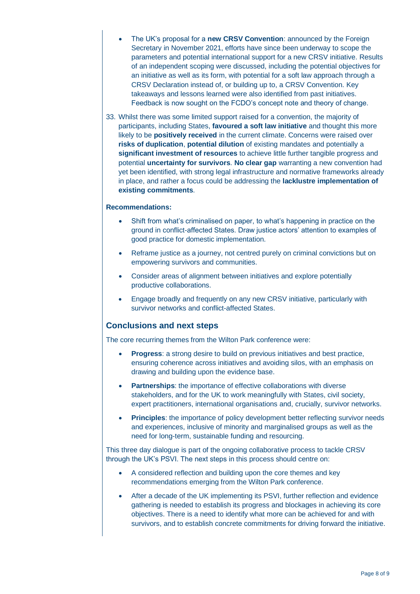- The UK's proposal for a **new CRSV Convention**: announced by the Foreign Secretary in November 2021, efforts have since been underway to scope the parameters and potential international support for a new CRSV initiative. Results of an independent scoping were discussed, including the potential objectives for an initiative as well as its form, with potential for a soft law approach through a CRSV Declaration instead of, or building up to, a CRSV Convention. Key takeaways and lessons learned were also identified from past initiatives. Feedback is now sought on the FCDO's concept note and theory of change.
- 33. Whilst there was some limited support raised for a convention, the majority of participants, including States, **favoured a soft law initiative** and thought this more likely to be **positively received** in the current climate. Concerns were raised over **risks of duplication**, **potential dilution** of existing mandates and potentially a **significant investment of resources** to achieve little further tangible progress and potential **uncertainty for survivors**. **No clear gap** warranting a new convention had yet been identified, with strong legal infrastructure and normative frameworks already in place, and rather a focus could be addressing the **lacklustre implementation of existing commitments**.

- Shift from what's criminalised on paper, to what's happening in practice on the ground in conflict-affected States. Draw justice actors' attention to examples of good practice for domestic implementation.
- Reframe justice as a journey, not centred purely on criminal convictions but on empowering survivors and communities.
- Consider areas of alignment between initiatives and explore potentially productive collaborations.
- Engage broadly and frequently on any new CRSV initiative, particularly with survivor networks and conflict-affected States.

#### **Conclusions and next steps**

The core recurring themes from the Wilton Park conference were:

- **Progress:** a strong desire to build on previous initiatives and best practice, ensuring coherence across initiatives and avoiding silos, with an emphasis on drawing and building upon the evidence base.
- **Partnerships:** the importance of effective collaborations with diverse stakeholders, and for the UK to work meaningfully with States, civil society, expert practitioners, international organisations and, crucially, survivor networks.
- **Principles**: the importance of policy development better reflecting survivor needs and experiences, inclusive of minority and marginalised groups as well as the need for long-term, sustainable funding and resourcing.

This three day dialogue is part of the ongoing collaborative process to tackle CRSV through the UK's PSVI. The next steps in this process should centre on:

- A considered reflection and building upon the core themes and key recommendations emerging from the Wilton Park conference.
- After a decade of the UK implementing its PSVI, further reflection and evidence gathering is needed to establish its progress and blockages in achieving its core objectives. There is a need to identify what more can be achieved for and with survivors, and to establish concrete commitments for driving forward the initiative.